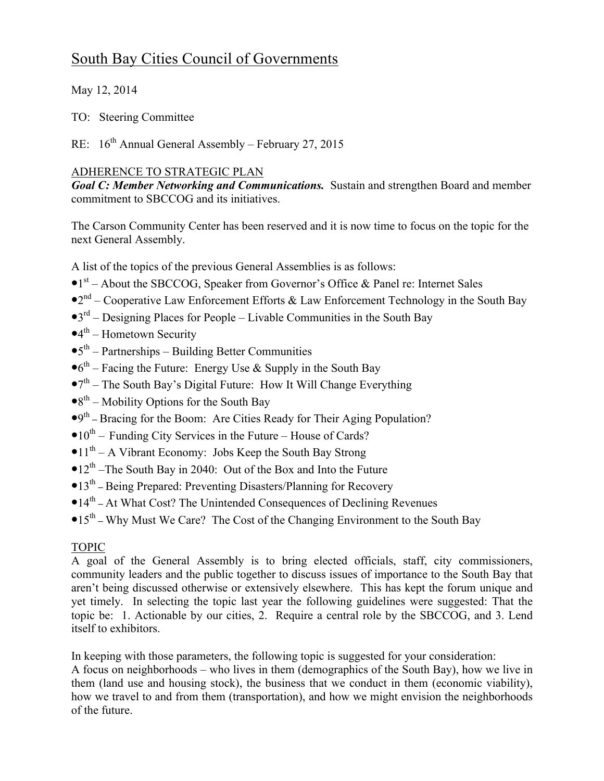## South Bay Cities Council of Governments

May 12, 2014

TO: Steering Committee

RE:  $16<sup>th</sup>$  Annual General Assembly – February 27, 2015

## ADHERENCE TO STRATEGIC PLAN

*Goal C: Member Networking and Communications.* Sustain and strengthen Board and member commitment to SBCCOG and its initiatives.

The Carson Community Center has been reserved and it is now time to focus on the topic for the next General Assembly.

A list of the topics of the previous General Assemblies is as follows:

- $\bullet$ 1<sup>st</sup> About the SBCCOG, Speaker from Governor's Office & Panel re: Internet Sales
- $\bullet 2^{nd}$  Cooperative Law Enforcement Efforts & Law Enforcement Technology in the South Bay
- $\bullet$ 3<sup>rd</sup> Designing Places for People Livable Communities in the South Bay
- $\bullet$ 4<sup>th</sup> Hometown Security
- $•5<sup>th</sup> Partnerships Building Better Communications$
- $\bullet$ <sup>6th</sup> Facing the Future: Energy Use & Supply in the South Bay
- $\bullet$ <sup>7th</sup> The South Bay's Digital Future: How It Will Change Everything
- $\bullet 8^{th}$  Mobility Options for the South Bay
- •9th **–** Bracing for the Boom: Are Cities Ready for Their Aging Population?
- $\bullet 10^{th}$  Funding City Services in the Future House of Cards?
- $\bullet 11^{th}$  A Vibrant Economy: Jobs Keep the South Bay Strong
- $\bullet$  12<sup>th</sup> –The South Bay in 2040: Out of the Box and Into the Future
- •13th **–** Being Prepared: Preventing Disasters/Planning for Recovery
- •14th **–** At What Cost? The Unintended Consequences of Declining Revenues
- •15<sup>th</sup> Why Must We Care? The Cost of the Changing Environment to the South Bay

## TOPIC

A goal of the General Assembly is to bring elected officials, staff, city commissioners, community leaders and the public together to discuss issues of importance to the South Bay that aren't being discussed otherwise or extensively elsewhere. This has kept the forum unique and yet timely. In selecting the topic last year the following guidelines were suggested: That the topic be: 1. Actionable by our cities, 2. Require a central role by the SBCCOG, and 3. Lend itself to exhibitors.

In keeping with those parameters, the following topic is suggested for your consideration: A focus on neighborhoods – who lives in them (demographics of the South Bay), how we live in them (land use and housing stock), the business that we conduct in them (economic viability), how we travel to and from them (transportation), and how we might envision the neighborhoods of the future.